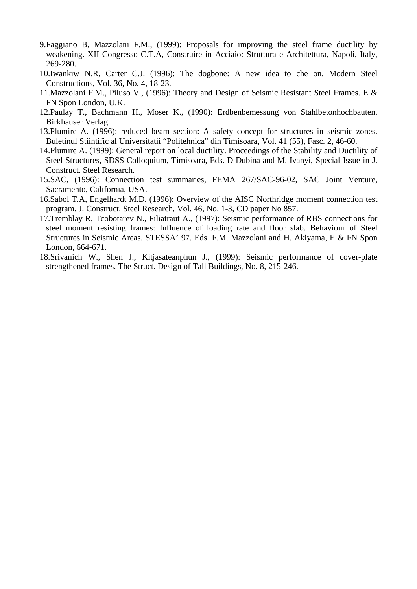- 9.Faggiano B, Mazzolani F.M., (1999): Proposals for improving the steel frame ductility by weakening. XII Congresso C.T.A, Construire in Acciaio: Struttura e Architettura, Napoli, Italy, 269-280.
- 10.Iwankiw N.R, Carter C.J. (1996): The dogbone: A new idea to che on. Modern Steel Constructions, Vol. 36, No. 4, 18-23.
- 11.Mazzolani F.M., Piluso V., (1996): Theory and Design of Seismic Resistant Steel Frames. E & FN Spon London, U.K.
- 12.Paulay T., Bachmann H., Moser K., (1990): Erdbenbemessung von Stahlbetonhochbauten. Birkhauser Verlag.
- 13.Plumire A. (1996): reduced beam section: A safety concept for structures in seismic zones. Buletinul Stiintific al Universitatii "Politehnica" din Timisoara, Vol. 41 (55), Fasc. 2, 46-60.
- 14.Plumire A. (1999): General report on local ductility. Proceedings of the Stability and Ductility of Steel Structures, SDSS Colloquium, Timisoara, Eds. D Dubina and M. Ivanyi, Special Issue in J. Construct. Steel Research.
- 15.SAC, (1996): Connection test summaries, FEMA 267/SAC-96-02, SAC Joint Venture, Sacramento, California, USA.
- 16.Sabol T.A, Engelhardt M.D. (1996): Overview of the AISC Northridge moment connection test program. J. Construct. Steel Research, Vol. 46, No. 1-3, CD paper No 857.
- 17.Tremblay R, Tcobotarev N., Filiatraut A., (1997): Seismic performance of RBS connections for steel moment resisting frames: Influence of loading rate and floor slab. Behaviour of Steel Structures in Seismic Areas, STESSA' 97. Eds. F.M. Mazzolani and H. Akiyama, E & FN Spon London, 664-671.
- 18.Srivanich W., Shen J., Kitjasateanphun J., (1999): Seismic performance of cover-plate strengthened frames. The Struct. Design of Tall Buildings, No. 8, 215-246.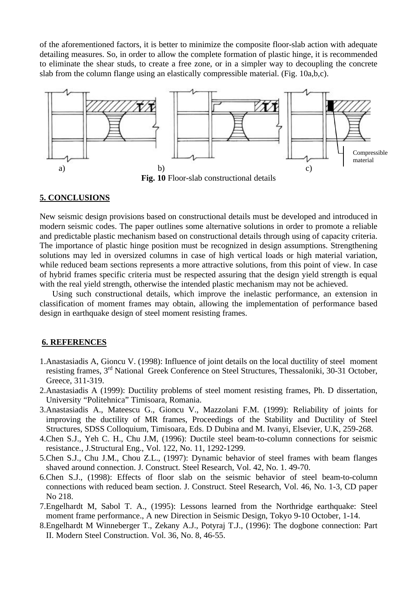of the aforementioned factors, it is better to minimize the composite floor-slab action with adequate detailing measures. So, in order to allow the complete formation of plastic hinge, it is recommended to eliminate the shear studs, to create a free zone, or in a simpler way to decoupling the concrete slab from the column flange using an elastically compressible material. (Fig. 10a,b,c).



**Fig. 10** Floor-slab constructional details

### **5. CONCLUSIONS**

New seismic design provisions based on constructional details must be developed and introduced in modern seismic codes. The paper outlines some alternative solutions in order to promote a reliable and predictable plastic mechanism based on constructional details through using of capacity criteria. The importance of plastic hinge position must be recognized in design assumptions. Strengthening solutions may led in oversized columns in case of high vertical loads or high material variation, while reduced beam sections represents a more attractive solutions, from this point of view. In case of hybrid frames specific criteria must be respected assuring that the design yield strength is equal with the real yield strength, otherwise the intended plastic mechanism may not be achieved.

Using such constructional details, which improve the inelastic performance, an extension in classification of moment frames may obtain, allowing the implementation of performance based design in earthquake design of steel moment resisting frames.

### **6. REFERENCES**

- 1.Anastasiadis A, Gioncu V. (1998): Influence of joint details on the local ductility of steel moment resisting frames, 3rd National Greek Conference on Steel Structures, Thessaloniki, 30-31 October, Greece, 311-319.
- 2.Anastasiadis A (1999): Ductility problems of steel moment resisting frames, Ph. D dissertation, University "Politehnica" Timisoara, Romania.
- 3.Anastasiadis A., Mateescu G., Gioncu V., Mazzolani F.M. (1999): Reliability of joints for improving the ductility of MR frames, Proceedings of the Stability and Ductility of Steel Structures, SDSS Colloquium, Timisoara, Eds. D Dubina and M. Ivanyi, Elsevier, U.K, 259-268.
- 4.Chen S.J., Yeh C. H., Chu J.M, (1996): Ductile steel beam-to-column connections for seismic resistance., J.Structural Eng., Vol. 122, No. 11, 1292-1299.
- 5.Chen S.J., Chu J.M., Chou Z.L., (1997): Dynamic behavior of steel frames with beam flanges shaved around connection. J. Construct. Steel Research, Vol. 42, No. 1. 49-70.
- 6.Chen S.J., (1998): Effects of floor slab on the seismic behavior of steel beam-to-column connections with reduced beam section. J. Construct. Steel Research, Vol. 46, No. 1-3, CD paper No 218.
- 7.Engelhardt M, Sabol T. A., (1995): Lessons learned from the Northridge earthquake: Steel moment frame performance., A new Direction in Seismic Design, Tokyo 9-10 October, 1-14.
- 8.Engelhardt M Winneberger T., Zekany A.J., Potyraj T.J., (1996): The dogbone connection: Part II. Modern Steel Construction. Vol. 36, No. 8, 46-55.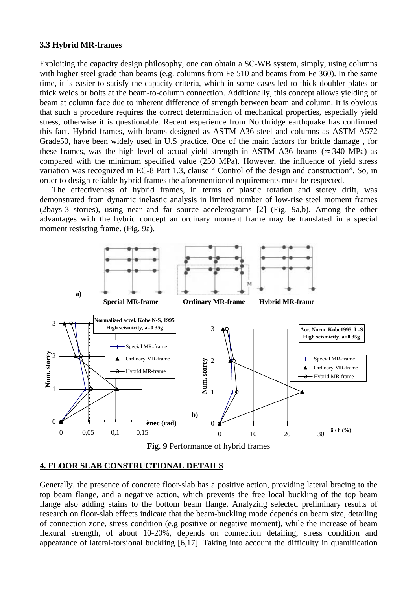#### **3.3 Hybrid MR-frames**

Exploiting the capacity design philosophy, one can obtain a SC-WB system, simply, using columns with higher steel grade than beams (e.g. columns from Fe 510 and beams from Fe 360). In the same time, it is easier to satisfy the capacity criteria, which in some cases led to thick doubler plates or thick welds or bolts at the beam-to-column connection. Additionally, this concept allows yielding of beam at column face due to inherent difference of strength between beam and column. It is obvious that such a procedure requires the correct determination of mechanical properties, especially yield stress, otherwise it is questionable. Recent experience from Northridge earthquake has confirmed this fact. Hybrid frames, with beams designed as ASTM A36 steel and columns as ASTM A572 Grade50, have been widely used in U.S practice. One of the main factors for brittle damage , for these frames, was the high level of actual yield strength in ASTM A36 beams ( $\approx$  340 MPa) as compared with the minimum specified value (250 MPa). However, the influence of yield stress variation was recognized in EC-8 Part 1.3, clause " Control of the design and construction". So, in order to design reliable hybrid frames the aforementioned requirements must be respected.

The effectiveness of hybrid frames, in terms of plastic rotation and storey drift, was demonstrated from dynamic inelastic analysis in limited number of low-rise steel moment frames (2bays-3 stories), using near and far source accelerograms [2] (Fig. 9a,b). Among the other advantages with the hybrid concept an ordinary moment frame may be translated in a special moment resisting frame. (Fig. 9a).



**Fig. 9** Performance of hybrid frames

## **4. FLOOR SLAB CONSTRUCTIONAL DETAILS**

Generally, the presence of concrete floor-slab has a positive action, providing lateral bracing to the top beam flange, and a negative action, which prevents the free local buckling of the top beam flange also adding stains to the bottom beam flange. Analyzing selected preliminary results of research on floor-slab effects indicate that the beam-buckling mode depends on beam size, detailing of connection zone, stress condition (e.g positive or negative moment), while the increase of beam flexural strength, of about 10-20%, depends on connection detailing, stress condition and appearance of lateral-torsional buckling [6,17]. Taking into account the difficulty in quantification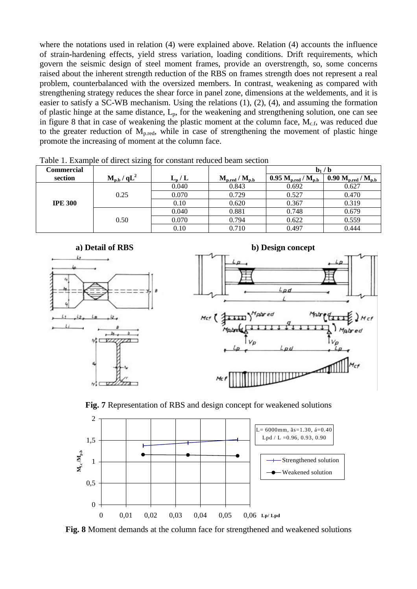where the notations used in relation (4) were explained above. Relation (4) accounts the influence of strain-hardening effects, yield stress variation, loading conditions. Drift requirements, which govern the seismic design of steel moment frames, provide an overstrength, so, some concerns raised about the inherent strength reduction of the RBS on frames strength does not represent a real problem, counterbalanced with the oversized members. In contrast, weakening as compared with strengthening strategy reduces the shear force in panel zone, dimensions at the weldements, and it is easier to satisfy a SC-WB mechanism. Using the relations (1), (2), (4), and assuming the formation of plastic hinge at the same distance,  $L_p$ , for the weakening and strengthening solution, one can see in figure 8 that in case of weakening the plastic moment at the column face,  $M_{c.f}$ , was reduced due to the greater reduction of  $M_{p,red}$ , while in case of strengthening the movement of plastic hinge promote the increasing of moment at the column face.

| Commercial     |                |           |                                 | $\mathbf{b}_1 / \mathbf{b}$                |                                      |
|----------------|----------------|-----------|---------------------------------|--------------------------------------------|--------------------------------------|
| section        | $M_{p,b}/qL^2$ | $L_{p}/L$ | $\rm M_{p,red}$ / $\rm M_{p.b}$ | $0.95 \text{ M}_{p,red} / \text{ M}_{p,b}$ | 0.90 $\rm M_{p,red}$ / $\rm M_{p.b}$ |
|                |                | 0.040     | 0.843                           | 0.692                                      | 0.627                                |
|                | 0.25           | 0.070     | 0.729                           | 0.527                                      | 0.470                                |
| <b>IPE 300</b> |                | 0.10      | 0.620                           | 0.367                                      | 0.319                                |
|                |                | 0.040     | 0.881                           | 0.748                                      | 0.679                                |
|                | 0.50           | 0.070     | 0.794                           | 0.622                                      | 0.559                                |
|                |                | 0.10      | 0.710                           | 0.497                                      | 0.444                                |

Table 1. Example of direct sizing for constant reduced beam section







**Fig. 8** Moment demands at the column face for strengthened and weakened solutions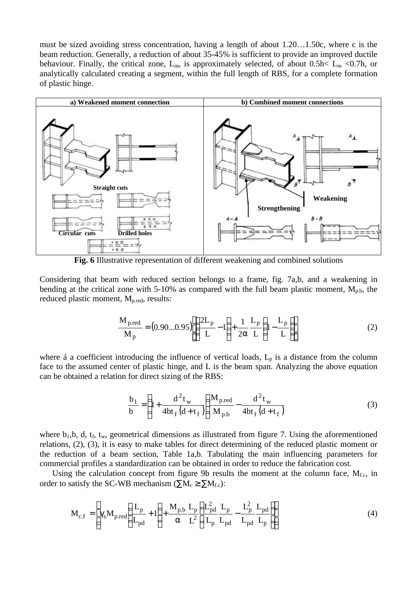must be sized avoiding stress concentration, having a length of about 1.20…1.50c, where c is the beam reduction. Generally, a reduction of about 35-45% is sufficient to provide an improved ductile behaviour. Finally, the critical zone,  $L_m$ , is approximately selected, of about 0.5h<  $L_m$  <0.7h, or analytically calculated creating a segment, within the full length of RBS, for a complete formation of plastic hinge.



**Fig. 6** Illustrative representation of different weakening and combined solutions

Considering that beam with reduced section belongs to a frame, fig. 7a,b, and a weakening in bending at the critical zone with 5-10% as compared with the full beam plastic moment,  $M_{p,b}$ , the reduced plastic moment, Mp.red, results:

$$
\frac{M_{p,red}}{M_p} = (0.90...0.95) \left[ \left( \frac{2L_p}{L} - 1 \right) + \frac{1}{2\alpha} \frac{L_p}{L} \left( 1 - \frac{L_p}{L} \right) \right]
$$
(2)

where á a coefficient introducing the influence of vertical loads,  $L_p$  is a distance from the column face to the assumed center of plastic hinge, and L is the beam span. Analyzing the above equation can be obtained a relation for direct sizing of the RBS:

$$
\frac{b_1}{b} = \left(1 + \frac{d^2 t_w}{4bt_f (d + t_f)}\right) \frac{M_{p,red}}{M_{p,b}} - \frac{d^2 t_w}{4bt_f (d + t_f)}
$$
(3)

where  $b_1, b, d, t_f, t_w$ , geometrical dimensions as illustrated from figure 7. Using the aforementioned relations, (2), (3), it is easy to make tables for direct determining of the reduced plastic moment or the reduction of a beam section, Table 1a,b. Tabulating the main influencing parameters for commercial profiles a standardization can be obtained in order to reduce the fabrication cost.

Using the calculation concept from figure 9b results the moment at the column face,  $M_{f,c}$ , in order to satisfy the SC-WB mechanism ( $\sum M_c \ge \sum M_{f.c}$ ):

$$
\mathbf{M}_{\rm c.f} = \left[ \gamma_{\rm s} \mathbf{M}_{\rm p,red} \left( \frac{\mathbf{L}_{\rm p}}{\mathbf{L}_{\rm pd}} + 1 \right) + \frac{\mathbf{M}_{\rm p,b}}{\alpha} \frac{\mathbf{L}_{\rm p}}{\mathbf{L}^2} \left( \frac{\mathbf{L}_{\rm pd}^2}{\mathbf{L}_{\rm p}} \frac{\mathbf{L}_{\rm p}}{\mathbf{L}_{\rm pd}} - \frac{\mathbf{L}_{\rm p}^2}{\mathbf{L}_{\rm pd}} \frac{\mathbf{L}_{\rm pd}}{\mathbf{L}_{\rm p}} \right) \right]
$$
(4)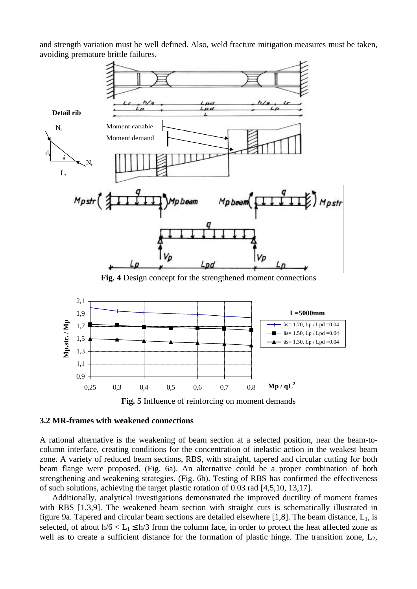and strength variation must be well defined. Also, weld fracture mitigation measures must be taken, avoiding premature brittle failures.





#### **3.2 MR-frames with weakened connections**

A rational alternative is the weakening of beam section at a selected position, near the beam-tocolumn interface, creating conditions for the concentration of inelastic action in the weakest beam zone. A variety of reduced beam sections, RBS, with straight, tapered and circular cutting for both beam flange were proposed. (Fig. 6a). An alternative could be a proper combination of both strengthening and weakening strategies. (Fig. 6b). Testing of RBS has confirmed the effectiveness of such solutions, achieving the target plastic rotation of 0.03 rad [4,5,10, 13,17].

Additionally, analytical investigations demonstrated the improved ductility of moment frames with RBS [1,3,9]. The weakened beam section with straight cuts is schematically illustrated in figure 9a. Tapered and circular beam sections are detailed elsewhere [1,8]. The beam distance,  $L_1$ , is selected, of about  $h/6 < L_1 \le h/3$  from the column face, in order to protect the heat affected zone as well as to create a sufficient distance for the formation of plastic hinge. The transition zone,  $L_2$ ,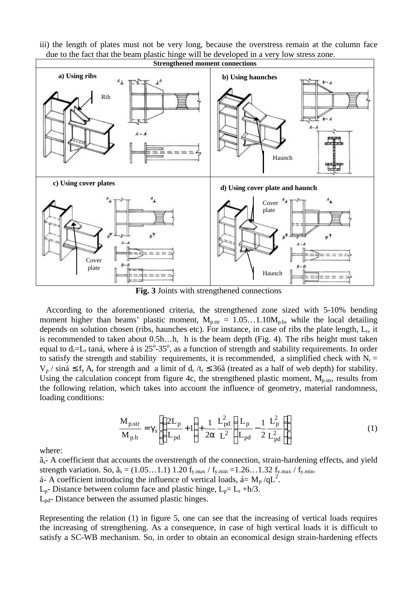iii) the length of plates must not be very long, because the overstress remain at the column face due to the fact that the beam plastic hinge will be developed in a very low stress zone.



**Fig. 3** Joints with strengthened connections

According to the aforementioned criteria, the strengthened zone sized with 5-10% bending moment higher than beams' plastic moment,  $M_{p.str} = 1.05...1.10M_{p.b}$ , while the local detailing depends on solution chosen (ribs, haunches etc). For instance, in case of ribs the plate length,  $L_r$ , it is recommended to taken about 0.5h…h, h is the beam depth (Fig. 4). The ribs height must taken equal to  $d_r=L_r$  taná, where á is  $25^{\circ}$ -35°, as a function of strength and stability requirements. In order to satisfy the strength and stability requirements, it is recommended, a simplified check with  $N_r =$  $V_p$  / siná  $\leq f_y A_r$  for strength and a limit of  $d_r/t_r \leq 36\hat{a}$  (treated as a half of web depth) for stability. Using the calculation concept from figure 4c, the strengthened plastic moment,  $M_{p,str}$ , results from the following relation, which takes into account the influence of geometry, material randomness, loading conditions:

$$
\frac{M_{p.str}}{M_{p.b}} = \gamma_s \left[ \left( \frac{2L_p}{L_{pd}} + 1 \right) + \frac{1}{2\alpha} \frac{L_{pd}^2}{L^2} \left( \frac{L_p}{L_{pd}} - \frac{1}{2} \frac{L_p^2}{L_{pd}^2} \right) \right]
$$
(1)

where:

 $\tilde{a}_s$ - A coefficient that accounts the overstrength of the connection, strain-hardening effects, and yield strength variation. So,  $\tilde{a}_s = (1.05...1.1) 1.20 f_{y,max} / f_{y,min} = 1.26...1.32 f_{y,max} / f_{y,min}$ . á- A coefficient introducing the influence of vertical loads, á=  $M_p / qL^2$ .  $L_p$ - Distance between column face and plastic hinge,  $L_p = L_r + h/3$ .

Lpd- Distance between the assumed plastic hinges.

Representing the relation (1) in figure 5, one can see that the increasing of vertical loads requires the increasing of strengthening. As a consequence, in case of high vertical loads it is difficult to satisfy a SC-WB mechanism. So, in order to obtain an economical design strain-hardening effects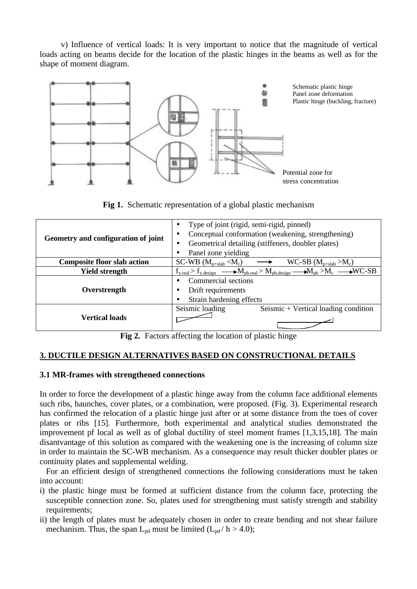v) Influence of vertical loads: It is very important to notice that the magnitude of vertical loads acting on beams decide for the location of the plastic hinges in the beams as well as for the shape of moment diagram.



**Fig 1.** Schematic representation of a global plastic mechanism

| Geometry and configuration of joint | Type of joint (rigid, semi-rigid, pinned)<br>٠<br>Conceptual conformation (weakening, strengthening)<br>٠<br>Geometrical detailing (stiffeners, doubler plates)<br>Panel zone yielding |  |  |
|-------------------------------------|----------------------------------------------------------------------------------------------------------------------------------------------------------------------------------------|--|--|
| <b>Composite floor slab action</b>  | $SC-WB (M_{p+slab} < M_c)$<br>$WC-SB (M_{p+slab} > M_c)$                                                                                                                               |  |  |
| <b>Yield strength</b>               | $f_{y,real} > f_{y,design}$ $\longrightarrow$ $M_{pb,real} > M_{pb,design}$ $\longrightarrow$ $M_{pb} > M_c$ $\longrightarrow$ WC-SB                                                   |  |  |
| Overstrength                        | Commercial sections<br>Drift requirements                                                                                                                                              |  |  |
|                                     | Strain hardening effects                                                                                                                                                               |  |  |
|                                     | Seismic loading<br>Seismic + Vertical loading condition                                                                                                                                |  |  |
| <b>Vertical loads</b>               |                                                                                                                                                                                        |  |  |

Fig 2. Factors affecting the location of plastic hinge

# **3. DUCTILE DESIGN ALTERNATIVES BASED ON CONSTRUCTIONAL DETAILS**

## **3.1 MR-frames with strengthened connections**

In order to force the development of a plastic hinge away from the column face additional elements such ribs, haunches, cover plates, or a combination, were proposed. (Fig. 3). Experimental research has confirmed the relocation of a plastic hinge just after or at some distance from the toes of cover plates or ribs [15]. Furthermore, both experimental and analytical studies demonstrated the improvement pf local as well as of global ductility of steel moment frames [1,3,15,18]. The main disantvantage of this solution as compared with the weakening one is the increasing of column size in order to maintain the SC-WB mechanism. As a consequence may result thicker doubler plates or continuity plates and supplemental welding.

For an efficient design of strengthened connections the following considerations must be taken into account:

- i) the plastic hinge must be formed at sufficient distance from the column face, protecting the susceptible connection zone. So, plates used for strengthening must satisfy strength and stability requirements:
- ii) the length of plates must be adequately chosen in order to create bending and not shear failure mechanism. Thus, the span  $L_{pd}$  must be limited ( $L_{pd}$  / h > 4.0);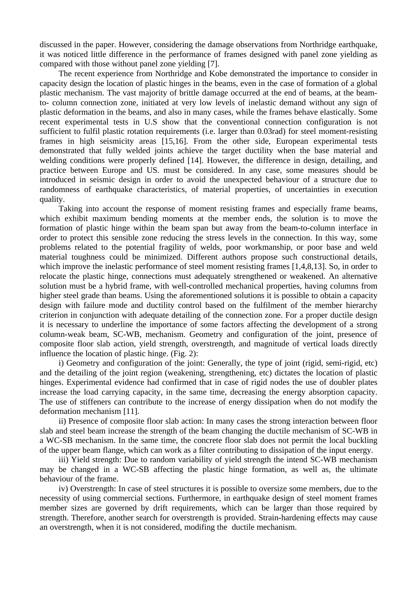discussed in the paper. However, considering the damage observations from Northridge earthquake, it was noticed little difference in the performance of frames designed with panel zone yielding as compared with those without panel zone yielding [7].

The recent experience from Northridge and Kobe demonstrated the importance to consider in capacity design the location of plastic hinges in the beams, even in the case of formation of a global plastic mechanism. The vast majority of brittle damage occurred at the end of beams, at the beamto- column connection zone, initiated at very low levels of inelastic demand without any sign of plastic deformation in the beams, and also in many cases, while the frames behave elastically. Some recent experimental tests in U.S show that the conventional connection configuration is not sufficient to fulfil plastic rotation requirements (i.e. larger than 0.03rad) for steel moment-resisting frames in high seismicity areas [15,16]. From the other side, European experimental tests demonstrated that fully welded joints achieve the target ductility when the base material and welding conditions were properly defined [14]. However, the difference in design, detailing, and practice between Europe and US. must be considered. In any case, some measures should be introduced in seismic design in order to avoid the unexpected behaviour of a structure due to randomness of earthquake characteristics, of material properties, of uncertainties in execution quality.

Taking into account the response of moment resisting frames and especially frame beams, which exhibit maximum bending moments at the member ends, the solution is to move the formation of plastic hinge within the beam span but away from the beam-to-column interface in order to protect this sensible zone reducing the stress levels in the connection. In this way, some problems related to the potential fragility of welds, poor workmanship, or poor base and weld material toughness could be minimized. Different authors propose such constructional details, which improve the inelastic performance of steel moment resisting frames [1,4,8,13]. So, in order to relocate the plastic hinge, connections must adequately strengthened or weakened. An alternative solution must be a hybrid frame, with well-controlled mechanical properties, having columns from higher steel grade than beams. Using the aforementioned solutions it is possible to obtain a capacity design with failure mode and ductility control based on the fulfilment of the member hierarchy criterion in conjunction with adequate detailing of the connection zone. For a proper ductile design it is necessary to underline the importance of some factors affecting the development of a strong column-weak beam, SC-WB, mechanism. Geometry and configuration of the joint, presence of composite floor slab action, yield strength, overstrength, and magnitude of vertical loads directly influence the location of plastic hinge. (Fig. 2):

i) Geometry and configuration of the joint: Generally, the type of joint (rigid, semi-rigid, etc) and the detailing of the joint region (weakening, strengthening, etc) dictates the location of plastic hinges. Experimental evidence had confirmed that in case of rigid nodes the use of doubler plates increase the load carrying capacity, in the same time, decreasing the energy absorption capacity. The use of stiffeners can contribute to the increase of energy dissipation when do not modify the deformation mechanism [11].

ii) Presence of composite floor slab action: In many cases the strong interaction between floor slab and steel beam increase the strength of the beam changing the ductile mechanism of SC-WB in a WC-SB mechanism. In the same time, the concrete floor slab does not permit the local buckling of the upper beam flange, which can work as a filter contributing to dissipation of the input energy.

iii) Yield strength: Due to random variability of yield strength the intend SC-WB mechanism may be changed in a WC-SB affecting the plastic hinge formation, as well as, the ultimate behaviour of the frame.

iv) Overstrength: In case of steel structures it is possible to oversize some members, due to the necessity of using commercial sections. Furthermore, in earthquake design of steel moment frames member sizes are governed by drift requirements, which can be larger than those required by strength. Therefore, another search for overstrength is provided. Strain-hardening effects may cause an overstrength, when it is not considered, modifing the ductile mechanism.